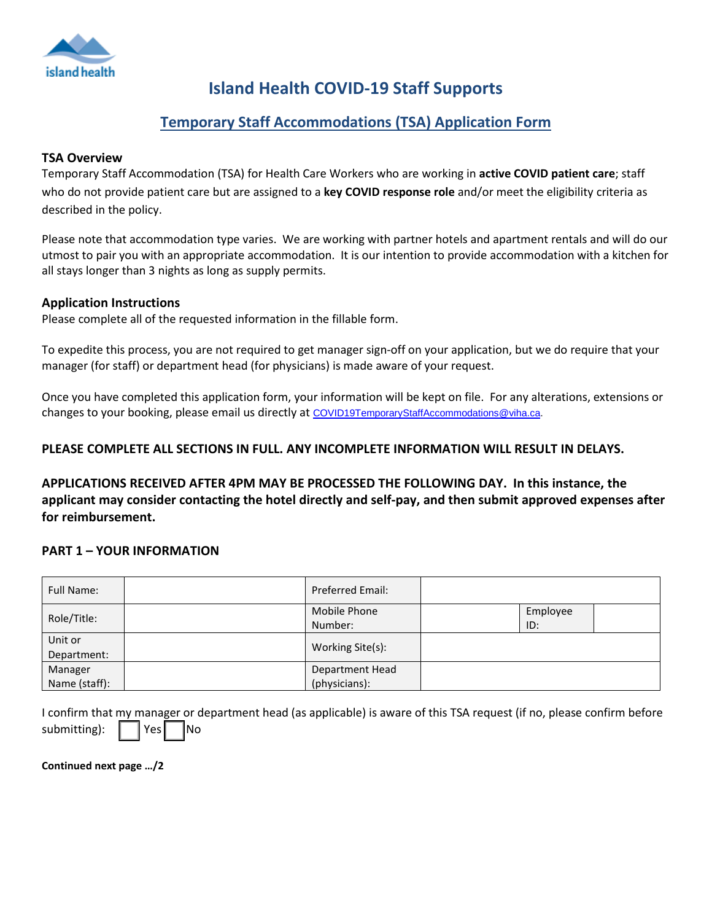

# **Island Health COVID-19 Staff Supports**

## **Temporary Staff Accommodations (TSA) Application Form**

### **TSA Overview**

Temporary Staff Accommodation (TSA) for Health Care Workers who are working in **active COVID patient care**; staff who do not provide patient care but are assigned to a **key COVID response role** and/or meet the eligibility criteria as described in the policy.

Please note that accommodation type varies. We are working with partner hotels and apartment rentals and will do our utmost to pair you with an appropriate accommodation. It is our intention to provide accommodation with a kitchen for all stays longer than 3 nights as long as supply permits.

### **Application Instructions**

Please complete all of the requested information in the fillable form.

To expedite this process, you are not required to get manager sign-off on your application, but we do require that your manager (for staff) or department head (for physicians) is made aware of your request.

Once you have completed this application form, your information will be kept on file. For any alterations, extensions or changes to your booking, please email us directly at [COVID19TemporaryStaffAccommodations@viha.ca.](mailto:COVID19TemporaryStaffAccommodations@viha.ca)

### **PLEASE COMPLETE ALL SECTIONS IN FULL. ANY INCOMPLETE INFORMATION WILL RESULT IN DELAYS.**

**APPLICATIONS RECEIVED AFTER 4PM MAY BE PROCESSED THE FOLLOWING DAY. In this instance, the applicant may consider contacting the hotel directly and self-pay, and then submit approved expenses after for reimbursement.**

### **PART 1 – YOUR INFORMATION**

| <b>Full Name:</b> | <b>Preferred Email:</b> |          |  |
|-------------------|-------------------------|----------|--|
| Role/Title:       | Mobile Phone            | Employee |  |
|                   | Number:                 | ID:      |  |
| Unit or           | Working Site(s):        |          |  |
| Department:       |                         |          |  |
| Manager           | Department Head         |          |  |
| Name (staff):     | (physicians):           |          |  |

|                                   |  | I confirm that my manager or department head (as applicable) is aware of this TSA request (if no, please confirm before |
|-----------------------------------|--|-------------------------------------------------------------------------------------------------------------------------|
| submitting): $\Box$ Yes $\Box$ No |  |                                                                                                                         |

**Continued next page …/2**